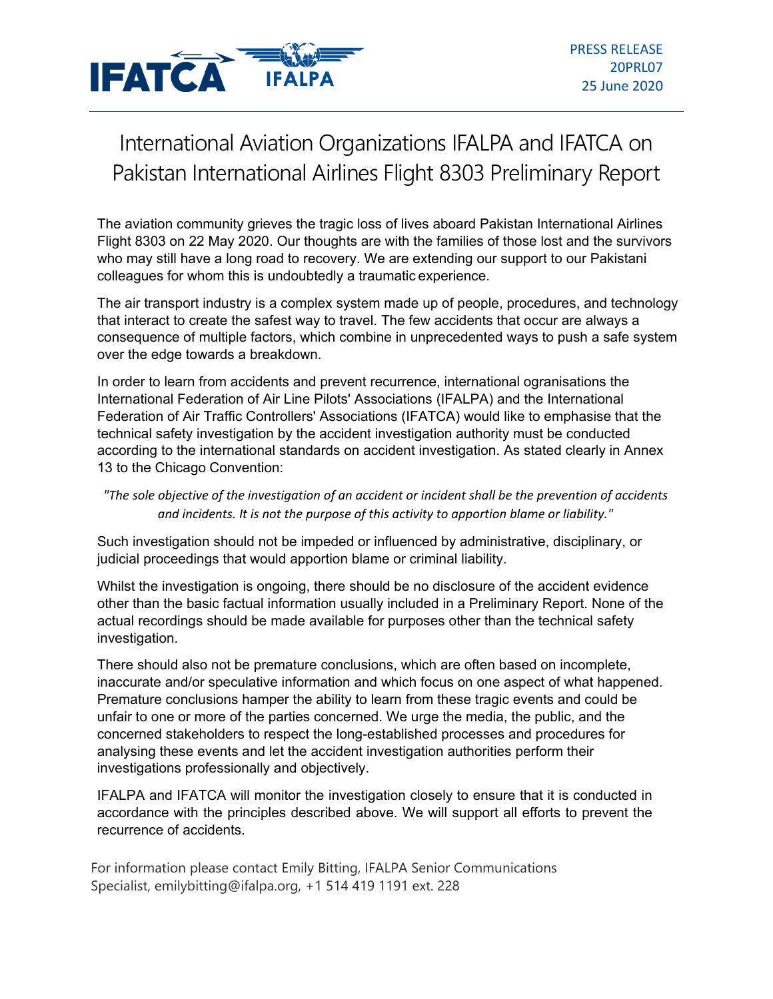

## International Aviation Organizations IFALPA and IFATCA on Pakistan International Airlines Flight 8303 Preliminary Report

The aviation community grieves the tragic loss of lives aboard Pakistan International Airlines Flight 8303 on 22 May 2020. Our thoughts are with the families of those lost and the survivors who may still have a long road to recovery. We are extending our support to our Pakistani colleagues for whom this is undoubtedly a traumatic experience.

The air transport industry is a complex system made up of people, procedures, and technology that interact to create the safest way to travel. The few accidents that occur are always a consequence of multiple factors, which combine in unprecedented ways to push a safe system over the edge towards a breakdown.

In order to learn from accidents and prevent recurrence, international ogranisations the International Federation of Air Line Pilots' Associations (IFALPA) and the International Federation of Air Traffic Controllers' Associations (IFATCA) would like to emphasise that the technical safety investigation by the accident investigation authority must be conducted according to the international standards on accident investigation. As stated clearly in Annex 13 to the Chicago Convention:

## *"The sole objective of the investigation of an accident or incident shall be the prevention of accidents and incidents. It is not the purpose of this activity to apportion blame or liability."*

Such investigation should not be impeded or influenced by administrative, disciplinary, or judicial proceedings that would apportion blame or criminal liability.

Whilst the investigation is ongoing, there should be no disclosure of the accident evidence other than the basic factual information usually included in a Preliminary Report. None of the actual recordings should be made available for purposes other than the technical safety investigation.

There should also not be premature conclusions, which are often based on incomplete, inaccurate and/or speculative information and which focus on one aspect of what happened. Premature conclusions hamper the ability to learn from these tragic events and could be unfair to one or more of the parties concerned. We urge the media, the public, and the concerned stakeholders to respect the long-established processes and procedures for analysing these events and let the accident investigation authorities perform their investigations professionally and objectively.

IFALPA and IFATCA will monitor the investigation closely to ensure that it is conducted in accordance with the principles described above. We will support all efforts to prevent the recurrence of accidents.

For information please contact Emily Bitting, IFALPA Senior Communications Specialist, emilybitting@ifalpa.org, +1 514 419 1191 ext. 228